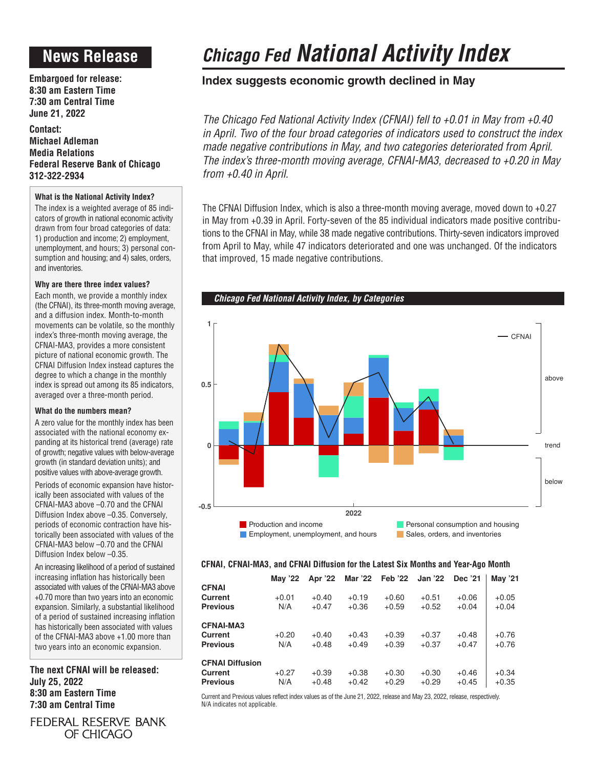## **News Release**

**Embargoed for release: 8:30 am Eastern Time 7:30 am Central Time June 21, 2022**

**Contact: Michael Adleman Media Relations Federal Reserve Bank of Chicago 312-322-2934**

### **What is the National Activity Index?**

The index is a weighted average of 85 indicators of growth in national economic activity drawn from four broad categories of data: 1) production and income; 2) employment, unemployment, and hours; 3) personal consumption and housing; and 4) sales, orders, and inventories.

### **Why are there three index values?**

Each month, we provide a monthly index (the CFNAI), its three-month moving average, and a diffusion index. Month-to-month movements can be volatile, so the monthly index's three-month moving average, the CFNAI-MA3, provides a more consistent picture of national economic growth. The CFNAI Diffusion Index instead captures the degree to which a change in the monthly index is spread out among its 85 indicators, averaged over a three-month period.

### **What do the numbers mean?**

A zero value for the monthly index has been associated with the national economy expanding at its historical trend (average) rate of growth; negative values with below-average growth (in standard deviation units); and positive values with above-average growth.

Periods of economic expansion have historically been associated with values of the CFNAI-MA3 above –0.70 and the CFNAI Diffusion Index above –0.35. Conversely, periods of economic contraction have historically been associated with values of the CFNAI-MA3 below –0.70 and the CFNAI Diffusion Index below –0.35.

An increasing likelihood of a period of sustained increasing inflation has historically been associated with values of the CFNAI-MA3 above +0.70 more than two years into an economic expansion. Similarly, a substantial likelihood of a period of sustained increasing inflation has historically been associated with values of the CFNAI-MA3 above +1.00 more than two years into an economic expansion.

**The next CFNAI will be released: July 25, 2022 8:30 am Eastern Time 7:30 am Central Time**

FEDERAL RESERVE BANK OF CHICAGO

# *Chicago Fed National Activity Index*

### **Index suggests economic growth declined in May**

*The Chicago Fed National Activity Index (CFNAI) fell to +0.01 in May from +0.40 in April. Two of the four broad categories of indicators used to construct the index made negative contributions in May, and two categories deteriorated from April. The index's three-month moving average, CFNAI-MA3, decreased to +0.20 in May from +0.40 in April.*

The CFNAI Diffusion Index, which is also a three-month moving average, moved down to +0.27 in May from +0.39 in April. Forty-seven of the 85 individual indicators made positive contributions to the CFNAI in May, while 38 made negative contributions. Thirty-seven indicators improved from April to May, while 47 indicators deteriorated and one was unchanged. Of the indicators that improved, 15 made negative contributions.



### **CFNAI, CFNAI-MA3, and CFNAI Diffusion for the Latest Six Months and Year-Ago Month**

|                        | May '22 | Apr '22 |         | Mar '22    Feb '22 | <b>Jan '22</b> | Dec '21 | May '21 |
|------------------------|---------|---------|---------|--------------------|----------------|---------|---------|
| <b>CFNAI</b>           |         |         |         |                    |                |         |         |
| <b>Current</b>         | $+0.01$ | $+0.40$ | $+0.19$ | $+0.60$            | $+0.51$        | $+0.06$ | $+0.05$ |
| <b>Previous</b>        | N/A     | $+0.47$ | $+0.36$ | $+0.59$            | $+0.52$        | $+0.04$ | $+0.04$ |
| <b>CFNAI-MA3</b>       |         |         |         |                    |                |         |         |
| <b>Current</b>         | $+0.20$ | $+0.40$ | $+0.43$ | $+0.39$            | $+0.37$        | $+0.48$ | $+0.76$ |
| <b>Previous</b>        | N/A     | $+0.48$ | $+0.49$ | $+0.39$            | $+0.37$        | $+0.47$ | $+0.76$ |
| <b>CFNAI Diffusion</b> |         |         |         |                    |                |         |         |
| <b>Current</b>         | $+0.27$ | $+0.39$ | $+0.38$ | $+0.30$            | $+0.30$        | $+0.46$ | $+0.34$ |
| <b>Previous</b>        | N/A     | $+0.48$ | $+0.42$ | $+0.29$            | $+0.29$        | $+0.45$ | $+0.35$ |

Current and Previous values reflect index values as of the June 21, 2022, release and May 23, 2022, release, respectively. N/A indicates not applicable.